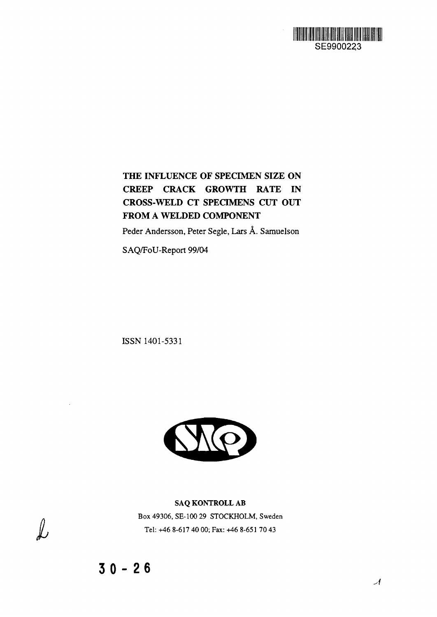

**THE INFLUENCE OF SPECIMEN SIZE ON CREEP CRACK GROWTH RATE IN CROSS-WELD CT SPECIMENS CUT OUT FROM A WELDED COMPONENT**

Peder Andersson, Peter Segle, Lars A. Samuelson

SAQ/FoU-Report 99/04

ISSN 1401-5331



**SAQ KONTROLL AB** Box 49306, SE-100 29 STOCKHOLM, Sweden Tel: +46 8-617 40 00; Fax: +46 8-651 70 43

 $\sim$ 

 $\mathcal{L}% _{M_{1},M_{2}}^{\alpha,\beta}(\varepsilon)$ 

 $\mathcal{A}$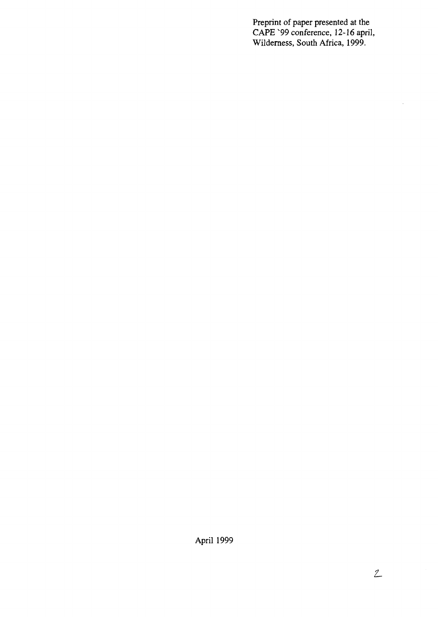Preprint of paper presented at the CAPE '99 conference, 12-16 april, Wilderness, South Africa, 1999.

April 1999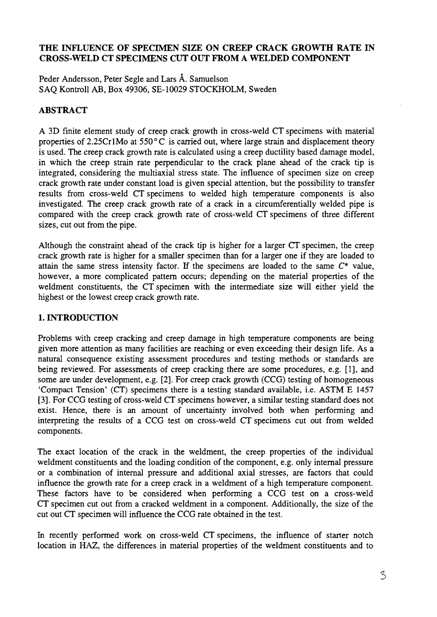# **THE INFLUENCE OF SPECIMEN SIZE ON CREEP CRACK GROWTH RATE IN CROSS-WELD CT SPECIMENS CUT OUT FROM A WELDED COMPONENT**

Peder Andersson, Peter Segle and Lars Å. Samuelson SAQ Kontroll AB, Box 49306, SE-10029 STOCKHOLM, Sweden

# **ABSTRACT**

A 3D finite element study of creep crack growth in cross-weld CT specimens with material properties of 2.25Cr1Mo at  $550^{\circ}$ C is carried out, where large strain and displacement theory is used. The creep crack growth rate is calculated using a creep ductility based damage model, in which the creep strain rate perpendicular to the crack plane ahead of the crack tip is integrated, considering the multiaxial stress state. The influence of specimen size on creep crack growth rate under constant load is given special attention, but the possibility to transfer results from cross-weld CT specimens to welded high temperature components is also investigated. The creep crack growth rate of a crack in a circumferentially welded pipe is compared with the creep crack growth rate of cross-weld CT specimens of three different sizes, cut out from the pipe.

Although the constraint ahead of the crack tip is higher for a larger CT specimen, the creep crack growth rate is higher for a smaller specimen than for a larger one if they are loaded to attain the same stress intensity factor. If the specimens are loaded to the same *C\** value, however, a more complicated pattern occurs; depending on the material properties of the weldment constituents, the CT specimen with the intermediate size will either yield the highest or the lowest creep crack growth rate.

# **1. INTRODUCTION**

Problems with creep cracking and creep damage in high temperature components are being given more attention as many facilities are reaching or even exceeding their design life. As a natural consequence existing assessment procedures and testing methods or standards are being reviewed. For assessments of creep cracking there are some procedures, e.g. [1], and some are under development, e.g. [2]. For creep crack growth (CCG) testing of homogeneous 'Compact Tension' (CT) specimens there is a testing standard available, i.e. ASTM E 1457 [3]. For CCG testing of cross-weld CT specimens however, a similar testing standard does not exist. Hence, there is an amount of uncertainty involved both when performing and interpreting the results of a CCG test on cross-weld CT specimens cut out from welded components.

The exact location of the crack in the weldment, the creep properties of the individual weldment constituents and the loading condition of the component, e.g. only internal pressure or a combination of internal pressure and additional axial stresses, are factors that could influence the growth rate for a creep crack in a weldment of a high temperature component. These factors have to be considered when performing a CCG test on a cross-weld CT specimen cut out from a cracked weldment in a component. Additionally, the size of the cut out CT specimen will influence the CCG rate obtained in the test.

In recently performed work on cross-weld CT specimens, the influence of starter notch location in HAZ, the differences in material properties of the weldment constituents and to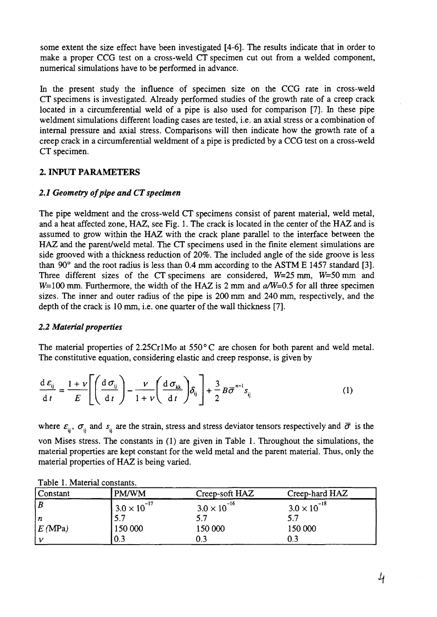some extent the size effect have been investigated [4-6]. The results indicate that in order to make a proper CCG test on a cross-weld CT specimen cut out from a welded component, numerical simulations have to be performed in advance.

In the present study the influence of specimen size on the CCG rate in cross-weld CT specimens is investigated. Already performed studies of the growth rate of a creep crack located in a circumferential weld of a pipe is also used for comparison [7]. In these pipe weldment simulations different loading cases are tested, i.e. an axial stress or a combination of internal pressure and axial stress. Comparisons will then indicate how the growth rate of a creep crack in a circumferential weldment of a pipe is predicted by a CCG test on a cross-weld CT specimen.

# **2. INPUT PARAMETERS**

# *2.1 Geometry of pipe and CT specimen*

The pipe weldment and the cross-weld CT specimens consist of parent material, weld metal, and a heat affected zone, HAZ, see Fig. 1. The crack is located in the center of the HAZ and is assumed to grow within the HAZ with the crack plane parallel to the interface between the HAZ and the parent/weld metal. The CT specimens used in the finite element simulations are side grooved with a thickness reduction of 20%. The included angle of the side groove is less than 90° and the root radius is less than 0.4 mm according to the ASTM E 1457 standard [3]. Three different sizes of the CT specimens are considered,  $W=25$  mm,  $W=50$  mm and W=100 mm. Furthermore, the width of the HAZ is 2 mm and  $a/W=0.5$  for all three specimen sizes. The inner and outer radius of the pipe is 200 mm and 240 mm, respectively, and the depth of the crack is 10 mm, i.e. one quarter of the wall thickness [7].

## *2.2 Material properties*

The material properties of 2.25Cr1Mo at 550°C are chosen for both parent and weld metal. The constitutive equation, considering elastic and creep response, is given by

$$
\frac{d \varepsilon_{ij}}{dt} = \frac{1 + \nu}{E} \left[ \left( \frac{d \sigma_{ij}}{dt} \right) - \frac{\nu}{1 + \nu} \left( \frac{d \sigma_{kk}}{dt} \right) \delta_{ij} \right] + \frac{3}{2} B \overline{\sigma}^{n-1} s_{ij}
$$
(1)

where  $\varepsilon_{ii}$ ,  $\sigma_{jj}$  and  $s_{ii}$  are the strain, stress and stress deviator tensors respectively and  $\bar{\sigma}$  is the von Mises stress. The constants in (1) are given in Table 1. Throughout the simulations, the material properties are kept constant for the weld metal and the parent material. Thus, only the material properties of HAZ is being varied.

| Constant | <b>PM/WM</b>          | Creep-soft HAZ        | Creep-hard HAZ        |
|----------|-----------------------|-----------------------|-----------------------|
| . B      | $3.0 \times 10^{-17}$ | $3.0 \times 10^{-16}$ | $3.0 \times 10^{-18}$ |
| n        |                       | 5.7                   | 5.7                   |
| E(MPa)   | 150 000               | 150 000               | 150 000               |
|          | 0.3                   | 0.3                   | 0.3                   |

Table 1. Material constants.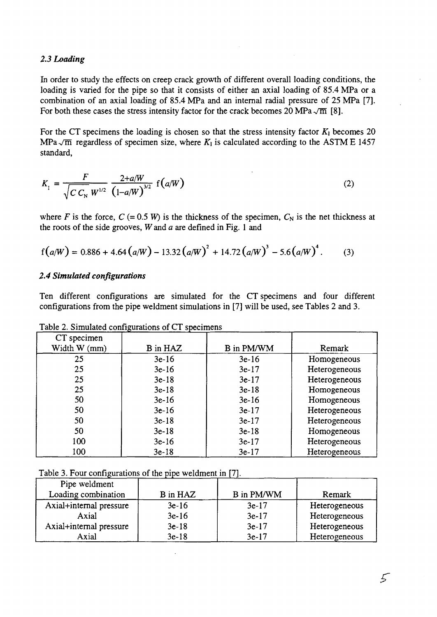### *2.3 Loading*

In order to study the effects on creep crack growth of different overall loading conditions, the loading is varied for the pipe so that it consists of either an axial loading of 85.4 MPa or a combination of an axial loading of 85.4 MPa and an internal radial pressure of 25 MPa [7]. For both these cases the stress intensity factor for the crack becomes 20 MPa  $\sqrt{m}$  [8].

For the CT specimens the loading is chosen so that the stress intensity factor  $K_1$  becomes 20 MPa $\sqrt{m}$  regardless of specimen size, where  $K_1$  is calculated according to the ASTM E 1457 standard,

$$
K_{1} = \frac{F}{\sqrt{C C_{N}} W^{1/2}} \frac{2+a/W}{(1-a/W)^{3/2}} f(a/W)
$$
 (2)

where *F* is the force,  $C = 0.5 W$  is the thickness of the specimen,  $C_N$  is the net thickness at the roots of the side grooves, Wand *a* are defined in Fig. 1 and

$$
f(a/W) = 0.886 + 4.64 (a/W) - 13.32 (a/W)^{2} + 14.72 (a/W)^{3} - 5.6 (a/W)^{4}. \qquad (3)
$$

#### *2.4 Simulated configurations*

Ten different configurations are simulated for the CT specimens and four different configurations from the pipe weldment simulations in [7] will be used, see Tables 2 and 3.

| racio E. Chinanato comiguations or Cr specificits |                 |                   |               |  |  |  |
|---------------------------------------------------|-----------------|-------------------|---------------|--|--|--|
| CT specimen                                       |                 |                   |               |  |  |  |
| Width W (mm)                                      | <b>B</b> in HAZ | <b>B</b> in PM/WM | Remark        |  |  |  |
| 25                                                | $3e-16$         | $3e-16$           | Homogeneous   |  |  |  |
| 25                                                | $3e-16$         | $3e-17$           | Heterogeneous |  |  |  |
| 25                                                | $3e-18$         | $3e-17$           | Heterogeneous |  |  |  |
| 25                                                | $3e-18$         | $3e-18$           | Homogeneous   |  |  |  |
| 50                                                | $3e-16$         | $3e-16$           | Homogeneous   |  |  |  |
| 50                                                | $3e-16$         | $3e-17$           | Heterogeneous |  |  |  |
| 50                                                | $3e-18$         | $3e-17$           | Heterogeneous |  |  |  |
| 50                                                | $3e-18$         | $3e-18$           | Homogeneous   |  |  |  |
| 100                                               | $3e-16$         | $3e-17$           | Heterogeneous |  |  |  |
| 100                                               | $3e-18$         | $3e-17$           | Heterogeneous |  |  |  |

Table 2. Simulated configurations of CT specimens

Table 3. Four configurations of the pipe weldment in [7].

| Pipe weldment           |          |                   |               |
|-------------------------|----------|-------------------|---------------|
| Loading combination     | B in HAZ | <b>B</b> in PM/WM | Remark        |
| Axial+internal pressure | $3e-16$  | $3e-17$           | Heterogeneous |
| Axial                   | $3e-16$  | $3e-17$           | Heterogeneous |
| Axial+internal pressure | $3e-18$  | $3e-17$           | Heterogeneous |
| Axial                   | $3e-18$  | $3e-17$           | Heterogeneous |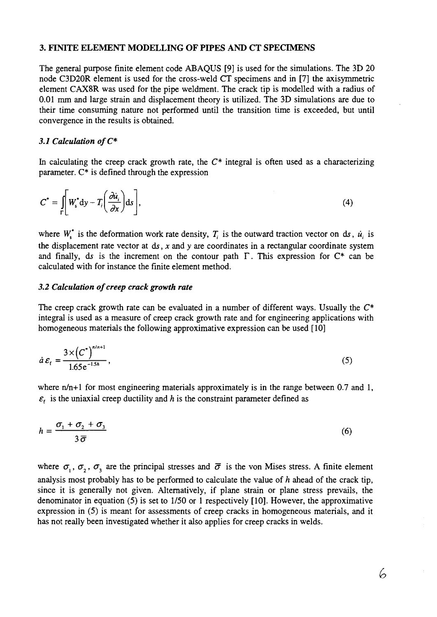#### **3. FINITE ELEMENT MODELLING OF PIPES AND CT SPECIMENS**

The general purpose finite element code ABAQUS [9] is used for the simulations. The 3D 20 node C3D20R element is used for the cross-weld CT specimens and in [7] the axisymmetric element CAX8R was used for the pipe weldment. The crack tip is modelled with a radius of 0.01 mm and large strain and displacement theory is utilized. The 3D simulations are due to their time consuming nature not performed until the transition time is exceeded, but until convergence in the results is obtained.

#### 3.1 Calculation of  $C^*$

In calculating the creep crack growth rate, the  $C^*$  integral is often used as a characterizing parameter.  $C^*$  is defined through the expression

$$
C^* = \int_{\Gamma} \left[ W_s^* dy - T_i \left( \frac{\partial u_i}{\partial x} \right) ds \right],
$$
 (4)

where  $W^*$  is the deformation work rate density,  $T_i$  is the outward traction vector on ds,  $\dot{u}_i$  is the displacement rate vector at ds, *x* and y are coordinates in a rectangular coordinate system and finally, ds is the increment on the contour path  $\Gamma$ . This expression for  $C^*$  can be calculated with for instance the finite element method.

### *3.2 Calculation of creep crack growth rate*

The creep crack growth rate can be evaluated in a number of different ways. Usually the  $C^*$ integral is used as a measure of creep crack growth rate and for engineering applications with homogeneous materials the following approximative expression can be used [10]

$$
\dot{a}\,\varepsilon_{\rm f} = \frac{3 \times \left(C^*\right)^{n/n+1}}{1.65 \,\mathrm{e}^{-1.5h}},\tag{5}
$$

where  $n/n+1$  for most engineering materials approximately is in the range between 0.7 and 1,  $\varepsilon$ <sup>*f*</sup> is the uniaxial creep ductility and *h* is the constraint parameter defined as

$$
h = \frac{\sigma_1 + \sigma_2 + \sigma_3}{3\,\overline{\sigma}}\tag{6}
$$

where  $\sigma_1$ ,  $\sigma_2$ ,  $\sigma_3$  are the principal stresses and  $\bar{\sigma}$  is the von Mises stress. A finite element analysis most probably has to be performed to calculate the value of *h* ahead of the crack tip, since it is generally not given. Alternatively, if plane strain or plane stress prevails, the denominator in equation (5) is set to 1/50 or 1 respectively [10]. However, the approximative expression in (5) is meant for assessments of creep cracks in homogeneous materials, and it has not really been investigated whether it also applies for creep cracks in welds.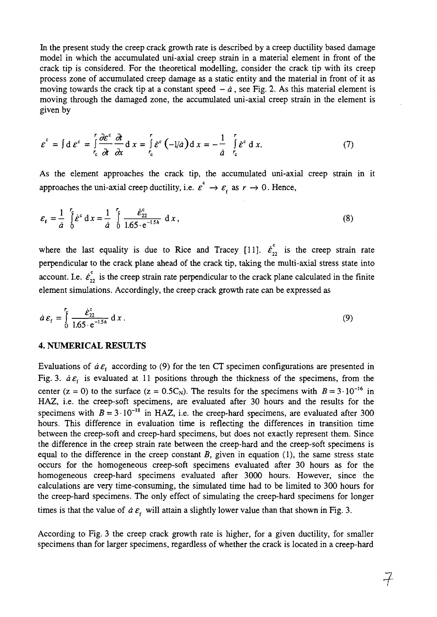In the present study the creep crack growth rate is described by a creep ductility based damage model in which the accumulated uni-axial creep strain in a material element in front of the crack tip is considered. For the theoretical modelling, consider the crack tip with its creep process zone of accumulated creep damage as a static entity and the material in front of it as moving towards the crack tip at a constant speed  $-\dot{a}$ , see Fig. 2. As this material element is moving through the damaged zone, the accumulated uni-axial creep strain in the element is given by

$$
\varepsilon^{c} = \int d\varepsilon^{c} = \int_{r_{c}}^{r} \frac{\partial \varepsilon^{c}}{\partial t} \frac{\partial t}{\partial x} dx = \int_{r_{c}}^{r} \varepsilon^{c} (-1/a) dx = -\frac{1}{a} \int_{r_{c}}^{r} \varepsilon^{c} dx.
$$
 (7)

As the element approaches the crack tip, the accumulated uni-axial creep strain in it approaches the uni-axial creep ductility, i.e.  $\varepsilon^c \to \varepsilon_f$  as  $r \to 0$ . Hence,

$$
\varepsilon_{f} = \frac{1}{\dot{a}} \int_{0}^{\tau_{\xi}} \dot{\varepsilon}^{c} dx = \frac{1}{\dot{a}} \int_{0}^{\tau_{\xi}} \frac{\dot{\varepsilon}_{22}^{c}}{1.65 \cdot e^{-1.5h}} dx,
$$
 (8)

where the last equality is due to Rice and Tracey [11].  $\dot{\epsilon}_{22}^c$  is the creep strain rate perpendicular to the crack plane ahead of the crack tip, taking the multi-axial stress state into account. I.e.  $\dot{\epsilon}_{22}^c$  is the creep strain rate perpendicular to the crack plane calculated in the finite element simulations. Accordingly, the creep crack growth rate can be expressed as

$$
\dot{a}\,\varepsilon_{\rm f} = \int_0^{\mathbf{r}} \frac{\dot{\varepsilon}_{22}^{\rm c}}{1.65 \cdot e^{-1.5h}} \, \mathrm{d}\, x \,. \tag{9}
$$

### **4. NUMERICAL RESULTS**

Evaluations of  $\dot{a} \varepsilon_i$  according to (9) for the ten CT specimen configurations are presented in Fig. 3.  $d\mathcal{E}_f$  is evaluated at 11 positions through the thickness of the specimens, from the center (z = 0) to the surface (z =  $0.5C_N$ ). The results for the specimens with  $B = 3 \cdot 10^{-16}$  in HAZ, i.e. the creep-soft specimens, are evaluated after 30 hours and the results for the specimens with  $B = 3 \cdot 10^{-18}$  in HAZ, i.e. the creep-hard specimens, are evaluated after 300 hours. This difference in evaluation time is reflecting the differences in transition time between the creep-soft and creep-hard specimens, but does not exactly represent them. Since the difference in the creep strain rate between the creep-hard and the creep-soft specimens is equal to the difference in the creep constant *B,* given in equation (1), the same stress state occurs for the homogeneous creep-soft specimens evaluated after 30 hours as for the homogeneous creep-hard specimens evaluated after 3000 hours. However, since the calculations are very time-consuming, the simulated time had to be limited to 300 hours for the creep-hard specimens. The only effect of simulating the creep-hard specimens for longer times is that the value of  $\dot{a} \varepsilon$ <sub>f</sub> will attain a slightly lower value than that shown in Fig. 3.

According to Fig. 3 the creep crack growth rate is higher, for a given ductility, for smaller specimens than for larger specimens, regardless of whether the crack is located in a creep-hard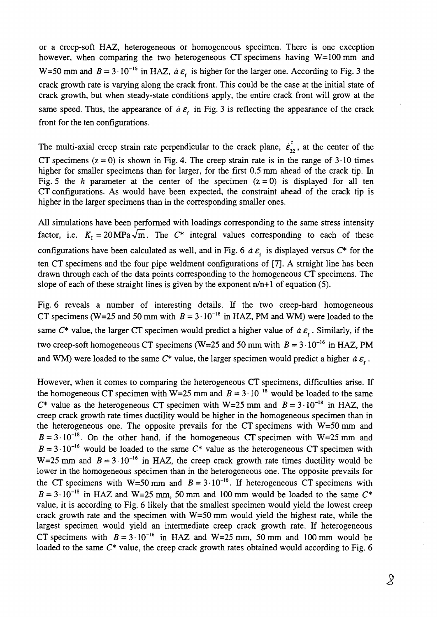or a creep-soft HAZ, heterogeneous or homogeneous specimen. There is one exception however, when comparing the two heterogeneous CT specimens having W=100 mm and W=50 mm and  $B = 3 \cdot 10^{-16}$  in HAZ,  $\dot{a} \varepsilon_t$  is higher for the larger one. According to Fig. 3 the crack growth rate is varying along the crack front. This could be the case at the initial state of crack growth, but when steady-state conditions apply, the entire crack front will grow at the same speed. Thus, the appearance of  $\dot{a} \varepsilon$  in Fig. 3 is reflecting the appearance of the crack front for the ten configurations.

The multi-axial creep strain rate perpendicular to the crack plane,  $\dot{\epsilon}_{22}^{\text{c}}$ , at the center of the CT specimens  $(z = 0)$  is shown in Fig. 4. The creep strain rate is in the range of 3-10 times higher for smaller specimens than for larger, for the first 0.5 mm ahead of the crack tip. In Fig. 5 the *h* parameter at the center of the specimen  $(z = 0)$  is displayed for all ten CT configurations. As would have been expected, the constraint ahead of the crack tip is higher in the larger specimens than in the corresponding smaller ones.

All simulations have been performed with loadings corresponding to the same stress intensity factor, i.e.  $K_1 = 20 \text{MPa}\sqrt{\text{m}}$ . The  $C^*$  integral values corresponding to each of these configurations have been calculated as well, and in Fig. 6  $\dot{a} \varepsilon$  is displayed versus  $C^*$  for the ten CT specimens and the four pipe weldment configurations of [7]. A straight line has been drawn through each of the data points corresponding to the homogeneous CT specimens. The slope of each of these straight lines is given by the exponent  $n/n+1$  of equation (5).

Fig. 6 reveals a number of interesting details. If the two creep-hard homogeneous CT specimens (W=25 and 50 mm with  $B = 3 \cdot 10^{-18}$  in HAZ, PM and WM) were loaded to the same  $C^*$  value, the larger CT specimen would predict a higher value of  $\dot{a} \varepsilon_t$ . Similarly, if the two creep-soft homogeneous CT specimens (W=25 and 50 mm with  $B = 3 \cdot 10^{-16}$  in HAZ, PM and WM) were loaded to the same  $C^*$  value, the larger specimen would predict a higher  $\dot{a} \varepsilon_{\epsilon}$ .

However, when it comes to comparing the heterogeneous CT specimens, difficulties arise. If the homogeneous CT specimen with W=25 mm and  $B = 3 \cdot 10^{-18}$  would be loaded to the same  $C^*$  value as the heterogeneous CT specimen with W=25 mm and  $B = 3 \cdot 10^{-18}$  in HAZ, the creep crack growth rate times ductility would be higher in the homogeneous specimen than in the heterogeneous one. The opposite prevails for the CT specimens with W=50 mm and  $B = 3 \cdot 10^{-18}$ . On the other hand, if the homogeneous CT specimen with W=25 mm and  $B = 3 \cdot 10^{-16}$  would be loaded to the same  $C^*$  value as the heterogeneous CT specimen with W=25 mm and  $B = 3 \cdot 10^{-16}$  in HAZ, the creep crack growth rate times ductility would be lower in the homogeneous specimen than in the heterogeneous one. The opposite prevails for the CT specimens with  $W=50$  mm and  $B=3.10^{-16}$ . If heterogeneous CT specimens with  $B = 3 \cdot 10^{-18}$  in HAZ and W=25 mm, 50 mm and 100 mm would be loaded to the same  $C^*$ value, it is according to Fig. 6 likely that the smallest specimen would yield the lowest creep crack growth rate and the specimen with W=50 mm would yield the highest rate, while the largest specimen would yield an intermediate creep crack growth rate. If heterogeneous CT specimens with  $B = 3 \cdot 10^{-16}$  in HAZ and W=25 mm, 50 mm and 100 mm would be loaded to the same  $C^*$  value, the creep crack growth rates obtained would according to Fig. 6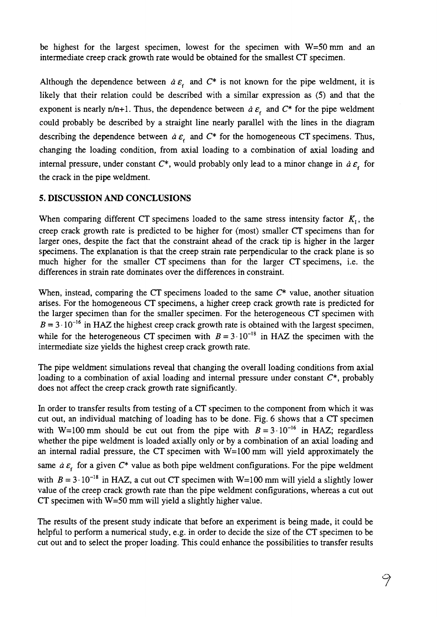be highest for the largest specimen, lowest for the specimen with W=50mm and an intermediate creep crack growth rate would be obtained for the smallest CT specimen.

Although the dependence between  $\dot{a} \varepsilon$  and  $C^*$  is not known for the pipe weldment, it is likely that their relation could be described with a similar expression as (5) and that the exponent is nearly  $n/n+1$ . Thus, the dependence between  $\dot{a} \varepsilon$  and  $C^*$  for the pipe weldment could probably be described by a straight line nearly parallel with the lines in the diagram describing the dependence between  $\dot{a} \varepsilon$  and  $C^*$  for the homogeneous CT specimens. Thus, changing the loading condition, from axial loading to a combination of axial loading and internal pressure, under constant  $C^*$ , would probably only lead to a minor change in  $\dot{a} \varepsilon$ , for the crack in the pipe weldment.

## 5. DISCUSSION AND CONCLUSIONS

When comparing different CT specimens loaded to the same stress intensity factor  $K<sub>1</sub>$ , the creep crack growth rate is predicted to be higher for (most) smaller CT specimens than for larger ones, despite the fact that the constraint ahead of the crack tip is higher in the larger specimens. The explanation is that the creep strain rate perpendicular to the crack plane is so much higher for the smaller CT specimens than for the larger CT specimens, i.e. the differences in strain rate dominates over the differences in constraint.

When, instead, comparing the CT specimens loaded to the same *C\** value, another situation arises. For the homogeneous CT specimens, a higher creep crack growth rate is predicted for the larger specimen than for the smaller specimen. For the heterogeneous CT specimen with  $B = 3 \cdot 10^{-16}$  in HAZ the highest creep crack growth rate is obtained with the largest specimen, while for the heterogeneous CT specimen with  $B = 3 \cdot 10^{-18}$  in HAZ the specimen with the intermediate size yields the highest creep crack growth rate.

The pipe weldment simulations reveal that changing the overall loading conditions from axial loading to a combination of axial loading and internal pressure under constant *C\*,* probably does not affect the creep crack growth rate significantly.

In order to transfer results from testing of a CT specimen to the component from which it was cut out, an individual matching of loading has to be done. Fig. 6 shows that a CT specimen with W=100 mm should be cut out from the pipe with  $B = 3 \cdot 10^{-16}$  in HAZ; regardless whether the pipe weldment is loaded axially only or by a combination of an axial loading and an internal radial pressure, the CT specimen with  $W=100$  mm will yield approximately the same  $\dot{a} \varepsilon$ <sub>f</sub> for a given  $C^*$  value as both pipe weldment configurations. For the pipe weldment with  $B = 3 \cdot 10^{-18}$  in HAZ, a cut out CT specimen with W=100 mm will yield a slightly lower value of the creep crack growth rate than the pipe weldment configurations, whereas a cut out CT specimen with  $W=50$  mm will yield a slightly higher value.

The results of the present study indicate that before an experiment is being made, it could be helpful to perform a numerical study, e.g. in order to decide the size of the CT specimen to be cut out and to select the proper loading. This could enhance the possibilities to transfer results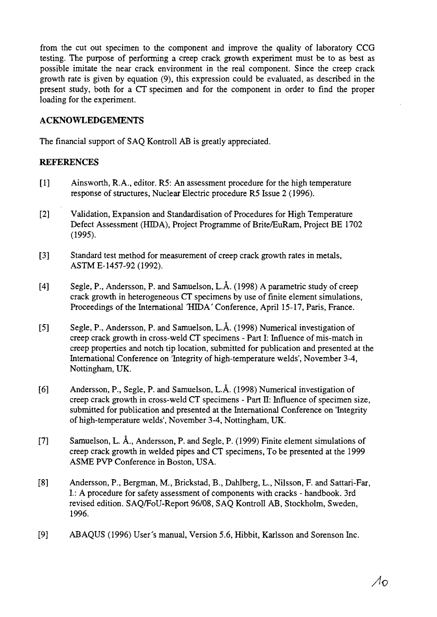from the cut out specimen to the component and improve the quality of laboratory CCG testing. The purpose of performing a creep crack growth experiment must be to as best as possible imitate the near crack environment in the real component. Since the creep crack growth rate is given by equation (9), this expression could be evaluated, as described in the present study, both for a CT specimen and for the component in order to find the proper loading for the experiment.

## **ACKNOWLEDGEMENTS**

The financial support of SAQ Kontroll AB is greatly appreciated.

### **REFERENCES**

- [1] Ainsworth, R.A., editor. R5: An assessment procedure for the high temperature response of structures, Nuclear Electric procedure R5 Issue 2 (1996).
- [2] Validation, Expansion and Standardisation of Procedures for High Temperature Defect Assessment (HIDA), Project Programme of Brite/EuRam, Project BE 1702 (1995).
- [3] Standard test method for measurement of creep crack growth rates in metals, ASTME-1457-92(1992).
- [4] Segle, P., Andersson, P. and Samuelson, L.A. (1998) A parametric study of creep crack growth in heterogeneous CT specimens by use of finite element simulations, Proceedings of the International HIDA' Conference, April 15-17, Paris, France.
- [5] Segle, P., Andersson, P. and Samuelson, L.A. (1998) Numerical investigation of creep crack growth in cross-weld CT specimens - Part I: Influence of mis-match in creep properties and notch tip location, submitted for publication and presented at the International Conference on 'Integrity of high-temperature welds', November 3-4, Nottingham, UK.
- [6] Andersson, P., Segle, P. and Samuelson, L.A. (1998) Numerical investigation of creep crack growth in cross-weld CT specimens - Part E: Influence of specimen size, submitted for publication and presented at the International Conference on 'Integrity of high-temperature welds', November 3-4, Nottingham, UK.
- [7] Samuelson, L. A., Andersson, P. and Segle, P. (1999) Finite element simulations of creep crack growth in welded pipes and CT specimens, To be presented at the 1999 ASME PVP Conference in Boston, USA.
- [8] Andersson, P., Bergman, M, Brickstad, B., Dahlberg, L., Nilsson, F. and Sattari-Far, I: A procedure for safety assessment of components with cracks - handbook. 3rd revised edition. SAQ/FoU-Report 96/08, SAQ Kontroll AB, Stockholm, Sweden, 1996.
- [9] ABAQUS (1996) User's manual, Version 5.6, Hibbit, Karlsson and Sorenson Inc.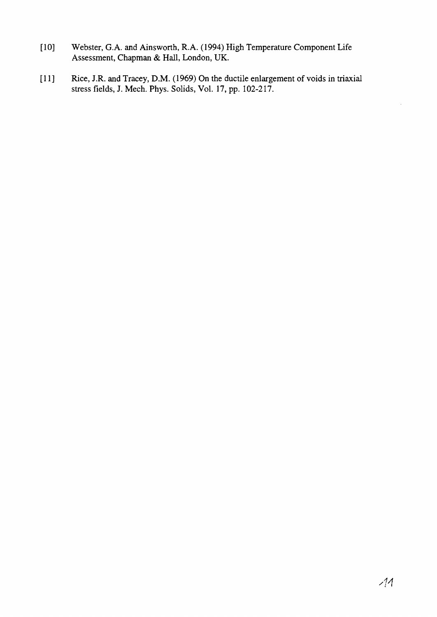- [10] Webster, G.A. and Ainsworth, R.A. (1994) High Temperature Component Life Assessment, Chapman & Hall, London, UK.
- [11] Rice, J.R. and Tracey, D.M. (1969) On the ductile enlargement of voids in triaxial stress fields, J. Mech. Phys. Solids, Vol. 17, pp. 102-217.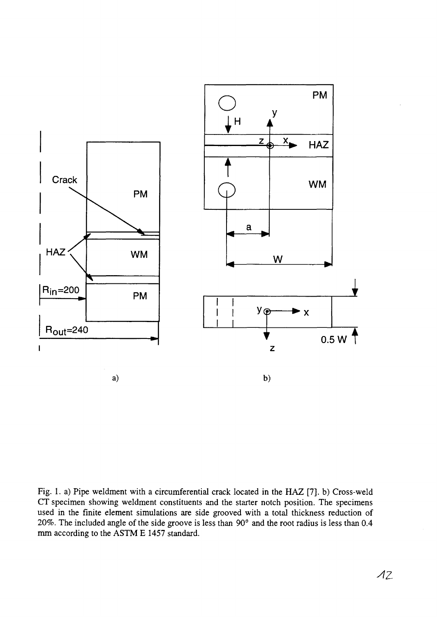

Fig. 1. a) Pipe weldment with a circumferential crack located in the HAZ [7]. b) Cross-weld CT specimen showing weldment constituents and the starter notch position. The specimens used in the finite element simulations are side grooved with a total thickness reduction of 20%. The included angle of the side groove is less than 90° and the root radius is less than 0.4 mm according to the ASTM E 1457 standard.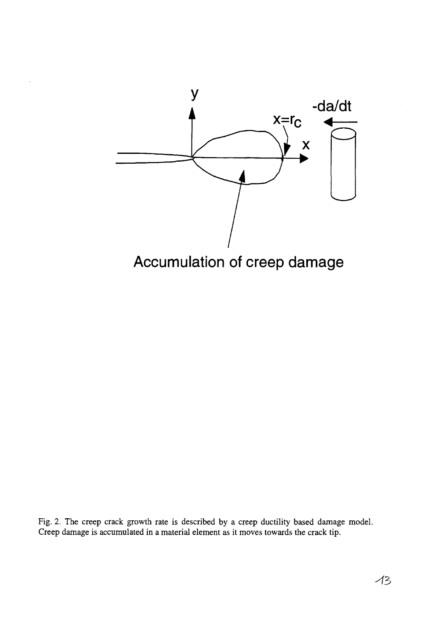

Fig. 2. The creep crack growth rate is described by a creep ductility based damage model. Creep damage is accumulated in a material element as it moves towards the crack tip.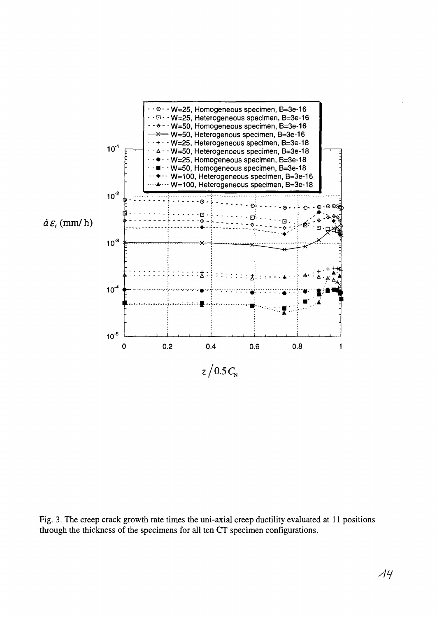

Fig. 3. The creep crack growth rate times the uni-axial creep ductility evaluated at 11 positions through the thickness of the specimens for all ten CT specimen configurations.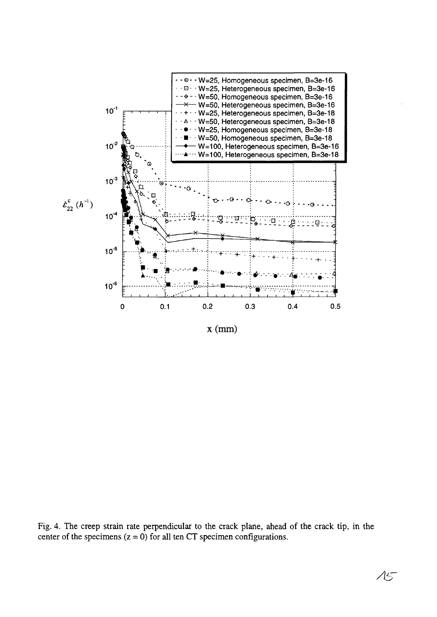

 $x$  (mm)

Fig. 4. The creep strain rate perpendicular to the crack plane, ahead of the crack tip, in the center of the specimens  $(z = 0)$  for all ten CT specimen configurations.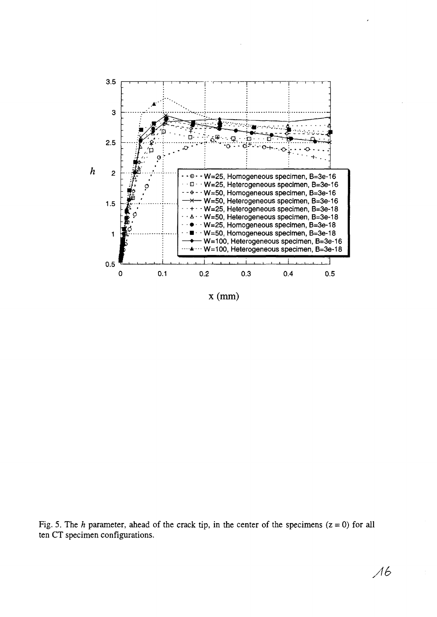

x (mm)

Fig. 5. The *h* parameter, ahead of the crack tip, in the center of the specimens  $(z = 0)$  for all ten CT specimen configurations.